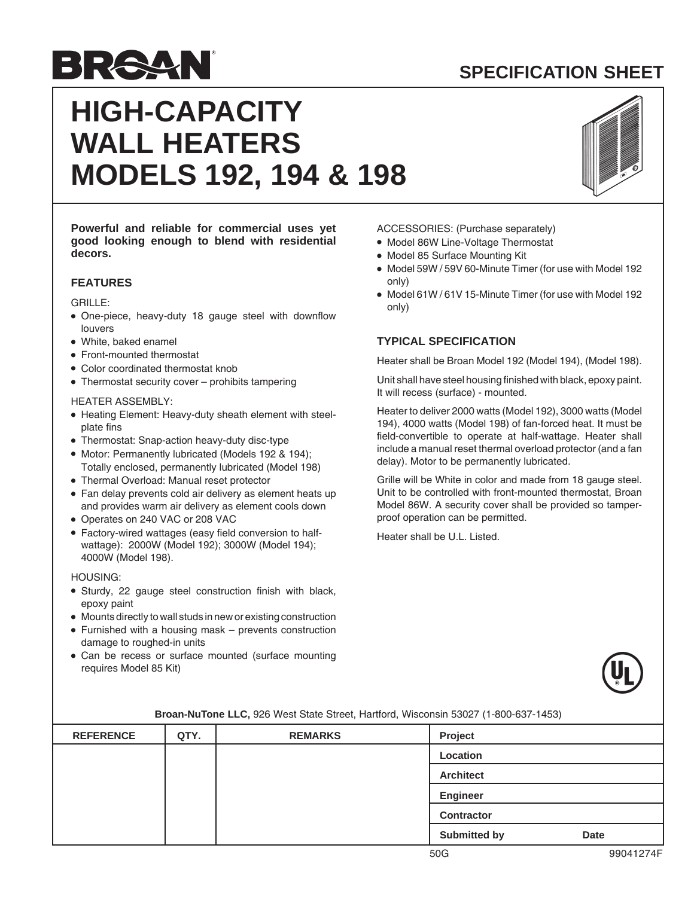## **SPECIFICATION SHEET**



# **HIGH-CAPACITY WALL HEATERS MODELS 192, 194 & 198**



**Powerful and reliable for commercial uses yet good looking enough to blend with residential decors.**

## **FEATURES**

GRILLE:

- One-piece, heavy-duty 18 gauge steel with downflow louvers
- White, baked enamel
- Front-mounted thermostat
- Color coordinated thermostat knob
- Thermostat security cover prohibits tampering

#### HEATER ASSEMBLY:

- Heating Element: Heavy-duty sheath element with steelplate fins
- Thermostat: Snap-action heavy-duty disc-type
- Motor: Permanently lubricated (Models 192 & 194); Totally enclosed, permanently lubricated (Model 198)
- Thermal Overload: Manual reset protector
- Fan delay prevents cold air delivery as element heats up and provides warm air delivery as element cools down
- Operates on 240 VAC or 208 VAC
- Factory-wired wattages (easy field conversion to halfwattage): 2000W (Model 192); 3000W (Model 194); 4000W (Model 198).

#### HOUSING:

- Sturdy, 22 gauge steel construction finish with black, epoxy paint
- Mounts directly to wall studs in new or existing construction
- Furnished with a housing mask prevents construction damage to roughed-in units
- Can be recess or surface mounted (surface mounting requires Model 85 Kit)

#### ACCESSORIES: (Purchase separately)

- Model 86W Line-Voltage Thermostat
- Model 85 Surface Mounting Kit
- Model 59W / 59V 60-Minute Timer (for use with Model 192 only)
- Model 61W / 61V 15-Minute Timer (for use with Model 192 only)

## **TYPICAL SPECIFICATION**

Heater shall be Broan Model 192 (Model 194), (Model 198).

Unit shall have steel housing finished with black, epoxy paint. It will recess (surface) - mounted.

Heater to deliver 2000 watts (Model 192), 3000 watts (Model 194), 4000 watts (Model 198) of fan-forced heat. It must be field-convertible to operate at half-wattage. Heater shall include a manual reset thermal overload protector (and a fan delay). Motor to be permanently lubricated.

Grille will be White in color and made from 18 gauge steel. Unit to be controlled with front-mounted thermostat, Broan Model 86W. A security cover shall be provided so tamperproof operation can be permitted.

Heater shall be U.L. Listed.



| <b>REFERENCE</b> | QTY. | <b>REMARKS</b> | Project             |             |
|------------------|------|----------------|---------------------|-------------|
|                  |      |                | Location            |             |
|                  |      |                | <b>Architect</b>    |             |
|                  |      |                | Engineer            |             |
|                  |      |                | <b>Contractor</b>   |             |
|                  |      |                | <b>Submitted by</b> | <b>Date</b> |

#### **Broan-NuTone LLC,** 926 West State Street, Hartford, Wisconsin 53027 (1-800-637-1453)